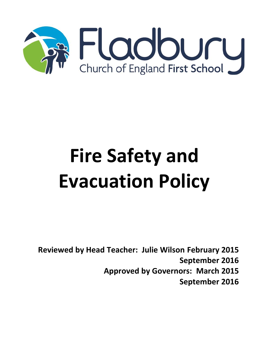

# **Fire Safety and Evacuation Policy**

**Reviewed by Head Teacher: Julie Wilson February 2015 September 2016 Approved by Governors: March 2015 September 2016**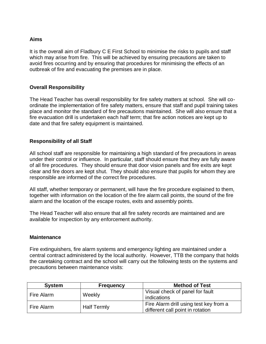#### **Aims**

It is the overall aim of Fladbury C E First School to minimise the risks to pupils and staff which may arise from fire. This will be achieved by ensuring precautions are taken to avoid fires occurring and by ensuring that procedures for minimising the effects of an outbreak of fire and evacuating the premises are in place.

#### **Overall Responsibility**

The Head Teacher has overall responsibility for fire safety matters at school. She will coordinate the implementation of fire safety matters, ensure that staff and pupil training takes place and monitor the standard of fire precautions maintained. She will also ensure that a fire evacuation drill is undertaken each half term; that fire action notices are kept up to date and that fire safety equipment is maintained.

## **Responsibility of all Staff**

All school staff are responsible for maintaining a high standard of fire precautions in areas under their control or influence. In particular, staff should ensure that they are fully aware of all fire procedures. They should ensure that door vision panels and fire exits are kept clear and fire doors are kept shut. They should also ensure that pupils for whom they are responsible are informed of the correct fire procedures.

All staff, whether temporary or permanent, will have the fire procedure explained to them, together with information on the location of the fire alarm call points, the sound of the fire alarm and the location of the escape routes, exits and assembly points.

The Head Teacher will also ensure that all fire safety records are maintained and are available for inspection by any enforcement authority.

#### **Maintenance**

Fire extinguishers, fire alarm systems and emergency lighting are maintained under a central contract administered by the local authority. However, TTB the company that holds the caretaking contract and the school will carry out the following tests on the systems and precautions between maintenance visits:

| <b>System</b> | <b>Frequency</b>   | <b>Method of Test</b>                                                      |
|---------------|--------------------|----------------------------------------------------------------------------|
| Fire Alarm    | Weekly             | Visual check of panel for fault<br>indications                             |
| Fire Alarm    | <b>Half Termly</b> | Fire Alarm drill using test key from a<br>different call point in rotation |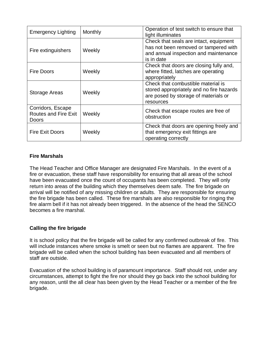| <b>Emergency Lighting</b>                                        | Monthly | Operation of test switch to ensure that<br>light illuminates                                                                           |
|------------------------------------------------------------------|---------|----------------------------------------------------------------------------------------------------------------------------------------|
| Fire extinguishers                                               | Weekly  | Check that seals are intact, equipment<br>has not been removed or tampered with<br>and annual inspection and maintenance<br>is in date |
| <b>Fire Doors</b>                                                | Weekly  | Check that doors are closing fully and,<br>where fitted, latches are operating<br>appropriately                                        |
| <b>Storage Areas</b>                                             | Weekly  | Check that combustible material is<br>stored appropriately and no fire hazards<br>are posed by storage of materials or<br>resources    |
| Corridors, Escape<br><b>Routes and Fire Exit</b><br><b>Doors</b> | Weekly  | Check that escape routes are free of<br>obstruction                                                                                    |
| <b>Fire Exit Doors</b>                                           | Weekly  | Check that doors are opening freely and<br>that emergency exit fittings are<br>operating correctly                                     |

## **Fire Marshals**

The Head Teacher and Office Manager are designated Fire Marshals. In the event of a fire or evacuation, these staff have responsibility for ensuring that all areas of the school have been evacuated once the count of occupants has been completed. They will only return into areas of the building which they themselves deem safe. The fire brigade on arrival will be notified of any missing children or adults. They are responsible for ensuring the fire brigade has been called. These fire marshals are also responsible for ringing the fire alarm bell if it has not already been triggered. In the absence of the head the SENCO becomes a fire marshal.

## **Calling the fire brigade**

It is school policy that the fire brigade will be called for any confirmed outbreak of fire. This will include instances where smoke is smelt or seen but no flames are apparent. The fire brigade will be called when the school building has been evacuated and all members of staff are outside.

Evacuation of the school building is of paramount importance. Staff should not, under any circumstances, attempt to fight the fire nor should they go back into the school building for any reason, until the all clear has been given by the Head Teacher or a member of the fire brigade.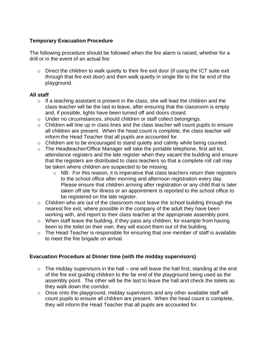## **Temporary Evacuation Procedure**

The following procedure should be followed when the fire alarm is raised, whether for a drill or in the event of an actual fire:

 $\circ$  Direct the children to walk quietly to their fire exit door (if using the ICT suite exit through that fire exit door) and then walk quietly in single file to the far end of the playground.

## **All staff**

- $\circ$  If a teaching assistant is present in the class, she will lead the children and the class teacher will be the last to leave, after ensuring that the classroom is empty and, if possible, lights have been turned off and doors closed.
- o Under no circumstances, should children or staff collect belongings.
- $\circ$  Children will line up in class lines and the class teacher will count pupils to ensure all children are present. When the head count is complete, the class teacher will inform the Head Teacher that all pupils are accounted for.
- $\circ$  Children are to be encouraged to stand quietly and calmly while being counted.
- o The Headteacher/Office Manager will take the portable telephone, first aid kit, attendance registers and the late register when they vacant the building and ensure that the registers are distributed to class teachers so that a complete roll call may be taken where children are suspected to be missing.
	- $\circ$  NB: For this reason, it is imperative that class teachers return their registers to the school office after morning and afternoon registration every day. Please ensure that children arriving after registration or any child that is later taken off site for illness or an appointment is reported to the school office to be registered on the late register.
- o Children who are out of the classroom must leave the school building through the nearest fire exit, where possible in the company of the adult they have been working with, and report to their class teacher at the appropriate assembly point.
- o When staff leave the building, if they pass any children, for example from having been to the toilet on their own, they will escort them out of the building.
- o The Head Teacher is responsible for ensuring that one member of staff is available to meet the fire brigade on arrival.

## **Evacuation Procedure at Dinner time (with the midday supervisors)**

- $\circ$  The midday supervisors in the hall one will leave the hall first, standing at the end of the fire exit guiding children to the far end of the playground being used as the assembly point. The other will be the last to leave the hall and check the toilets as they walk down the corridor.
- $\circ$  Once onto the playground, midday supervisors and any other available staff will count pupils to ensure all children are present. When the head count is complete, they will inform the Head Teacher that all pupils are accounted for.